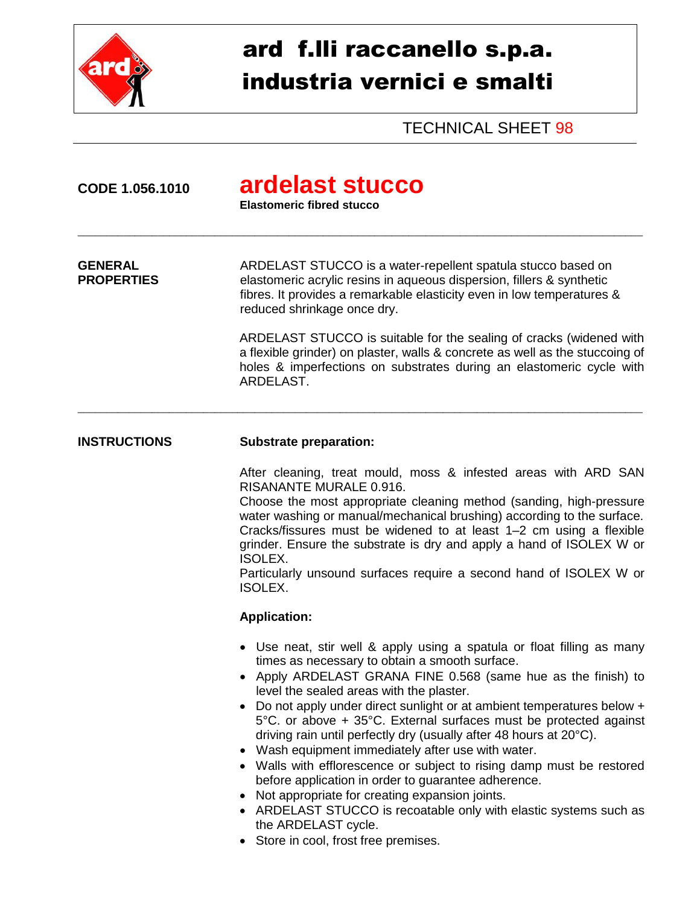

## ard f.lli raccanello s.p.a. industria vernici e smalti

TECHNICAL SHEET 98

| CODE 1.056.1010                     | ardelast stucco<br><b>Elastomeric fibred stucco</b>                                                                                                                                                                                                                                                                                                                                                                                                                                                                                                                                                                                                                                                                                                                                                                                  |
|-------------------------------------|--------------------------------------------------------------------------------------------------------------------------------------------------------------------------------------------------------------------------------------------------------------------------------------------------------------------------------------------------------------------------------------------------------------------------------------------------------------------------------------------------------------------------------------------------------------------------------------------------------------------------------------------------------------------------------------------------------------------------------------------------------------------------------------------------------------------------------------|
| <b>GENERAL</b><br><b>PROPERTIES</b> | ARDELAST STUCCO is a water-repellent spatula stucco based on<br>elastomeric acrylic resins in aqueous dispersion, fillers & synthetic<br>fibres. It provides a remarkable elasticity even in low temperatures &<br>reduced shrinkage once dry.                                                                                                                                                                                                                                                                                                                                                                                                                                                                                                                                                                                       |
|                                     | ARDELAST STUCCO is suitable for the sealing of cracks (widened with<br>a flexible grinder) on plaster, walls & concrete as well as the stuccoing of<br>holes & imperfections on substrates during an elastomeric cycle with<br>ARDELAST.                                                                                                                                                                                                                                                                                                                                                                                                                                                                                                                                                                                             |
| <b>INSTRUCTIONS</b>                 | <b>Substrate preparation:</b>                                                                                                                                                                                                                                                                                                                                                                                                                                                                                                                                                                                                                                                                                                                                                                                                        |
|                                     | After cleaning, treat mould, moss & infested areas with ARD SAN<br><b>RISANANTE MURALE 0.916.</b><br>Choose the most appropriate cleaning method (sanding, high-pressure<br>water washing or manual/mechanical brushing) according to the surface.<br>Cracks/fissures must be widened to at least 1-2 cm using a flexible<br>grinder. Ensure the substrate is dry and apply a hand of ISOLEX W or<br><b>ISOLEX.</b><br>Particularly unsound surfaces require a second hand of ISOLEX W or<br><b>ISOLEX.</b>                                                                                                                                                                                                                                                                                                                          |
|                                     | <b>Application:</b>                                                                                                                                                                                                                                                                                                                                                                                                                                                                                                                                                                                                                                                                                                                                                                                                                  |
|                                     | • Use neat, stir well & apply using a spatula or float filling as many<br>times as necessary to obtain a smooth surface.<br>Apply ARDELAST GRANA FINE 0.568 (same hue as the finish) to<br>level the sealed areas with the plaster.<br>• Do not apply under direct sunlight or at ambient temperatures below +<br>5°C. or above + 35°C. External surfaces must be protected against<br>driving rain until perfectly dry (usually after 48 hours at 20°C).<br>• Wash equipment immediately after use with water.<br>• Walls with efflorescence or subject to rising damp must be restored<br>before application in order to guarantee adherence.<br>Not appropriate for creating expansion joints.<br>• ARDELAST STUCCO is recoatable only with elastic systems such as<br>the ARDELAST cycle.<br>Store in cool, frost free premises. |